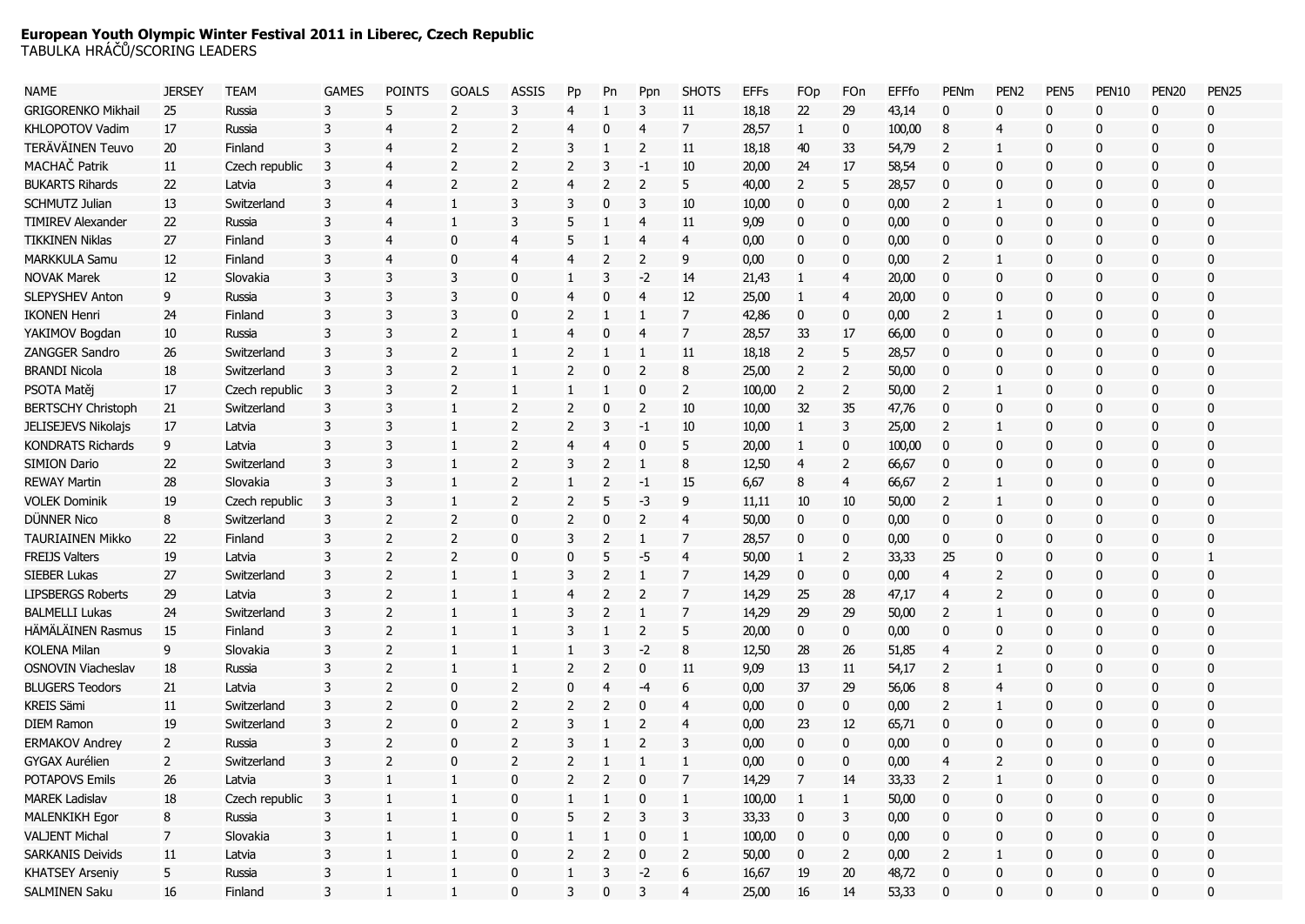## **European Youth Olympic Winter Festival 2011 in Liberec, Czech Republic** TABULKA HRÁČŮ/SCORING LEADERS

| <b>NAME</b>               | <b>JERSEY</b> | <b>TEAM</b>    | <b>GAMES</b> | <b>POINTS</b> | <b>GOALS</b>   | <b>ASSIS</b>   | Pp             | Pn             | Ppn            | <b>SHOTS</b>   | <b>EFFs</b> | FOp            | FOn    | EFFfo  | PENm           | PEN <sub>2</sub> | PEN <sub>5</sub> | PEN10 | PEN <sub>20</sub> | PEN <sub>25</sub> |
|---------------------------|---------------|----------------|--------------|---------------|----------------|----------------|----------------|----------------|----------------|----------------|-------------|----------------|--------|--------|----------------|------------------|------------------|-------|-------------------|-------------------|
| <b>GRIGORENKO Mikhail</b> | 25            | Russia         | 3            | 5             | $\overline{2}$ | 3              | 4              | 1              | 3              | 11             | 18,18       | 22             | 29     | 43,14  | $\mathbf 0$    | $\mathbf 0$      | $\mathbf{0}$     | 0     | 0                 | $\mathbf 0$       |
| KHLOPOTOV Vadim           | 17            | Russia         | 3            |               | $\overline{2}$ | $\overline{2}$ | 4              | 0              | $\overline{4}$ | $\overline{7}$ | 28,57       | $\mathbf{1}$   | 0      | 100,00 | 8              | $\overline{a}$   | $\mathbf{0}$     | 0     | $\mathbf{0}$      | $\Omega$          |
| TERÄVÄINEN Teuvo          | 20            | Finland        | 3            | 4             | $\overline{2}$ | $\overline{2}$ | 3              |                | $\overline{2}$ | 11             | 18,18       | 40             | 33     | 54,79  | 2              | 1                | $\mathbf{0}$     | 0     | $\mathbf{0}$      | $\Omega$          |
| MACHAČ Patrik             | 11            | Czech republic | 3            |               | $\overline{2}$ | $\overline{2}$ | 2              | 3              | $-1$           | 10             | 20,00       | 24             | 17     | 58,54  | $\mathbf{0}$   | $\mathbf{0}$     | $\mathbf{0}$     | 0     | $\mathbf{0}$      | $\Omega$          |
| <b>BUKARTS Rihards</b>    | 22            | Latvia         | 3            | 4             | $\overline{2}$ | $\overline{2}$ | 4              | 2              | $\overline{2}$ | 5              | 40,00       | $\overline{2}$ | 5      | 28,57  | $\mathbf 0$    | $\mathbf{0}$     | $\mathbf{0}$     | 0     | $\mathbf{0}$      | $\Omega$          |
| SCHMUTZ Julian            | 13            | Switzerland    | 3            |               | $\overline{1}$ | 3              | 3              | $\mathbf{0}$   | 3              | 10             | 10,00       | 0              | 0      | 0,00   | 2              | 1                | $\mathbf{0}$     | 0     | $\mathbf{0}$      | $\Omega$          |
| <b>TIMIREV Alexander</b>  | 22            | Russia         | 3            | 4             | -1             | 3              | 5              |                | 4              | 11             | 9,09        | 0              | 0      | 0,00   | 0              | $\mathbf{0}$     | $\mathbf{0}$     | 0     | $\mathbf{0}$      | $\mathbf{0}$      |
| <b>TIKKINEN Niklas</b>    | 27            | Finland        | 3            | 4             | $\theta$       | 4              | 5              |                | $\overline{4}$ | $\overline{4}$ | 0,00        | 0              | 0      | 0,00   | 0              | $\mathbf{0}$     | $\mathbf{0}$     | 0     | $\mathbf{0}$      | $\mathbf{0}$      |
| MARKKULA Samu             | 12            | Finland        | 3            | ۷             | $\theta$       | 4              | 4              | 2              | $\overline{2}$ | 9              | 0,00        | 0              | 0      | 0,00   | 2              | 1                | $\mathbf{0}$     | 0     | $\mathbf{0}$      | $\Omega$          |
| <b>NOVAK Marek</b>        | 12            | Slovakia       | 3            | 3             | 3              | $\mathbf{0}$   | 1              | 3              | $-2$           | 14             | 21,43       | 1              | 4      | 20,00  | $\mathbf{0}$   | $\mathbf{0}$     | $\mathbf{0}$     | 0     | $\mathbf{0}$      | $\Omega$          |
| <b>SLEPYSHEV Anton</b>    | 9             | Russia         | 3            | 3             | 3              | $\mathbf{0}$   | 4              | O              | 4              | 12             | 25,00       | 1              | 4      | 20,00  | 0              | $\mathbf{0}$     | $\mathbf{0}$     | 0     | $\mathbf{0}$      | $\mathbf{0}$      |
| <b>IKONEN Henri</b>       | 24            | Finland        | 3            | 3             | 3              | $\mathbf{0}$   | 2              | -1             | -1             | $\overline{7}$ | 42,86       | 0              | 0      | 0,00   | $\overline{2}$ | 1                | $\mathbf{0}$     | 0     | $\mathbf{0}$      | $\Omega$          |
| YAKIMOV Bogdan            | 10            | Russia         | 3            | 3             | $\overline{2}$ | $\mathbf{1}$   | 4              | 0              | 4              | $\overline{7}$ | 28,57       | 33             | 17     | 66,00  | $\mathbf{0}$   | $\mathbf{0}$     | $\mathbf{0}$     | 0     | $\mathbf{0}$      | $\Omega$          |
| ZANGGER Sandro            | 26            | Switzerland    | 3            | 3             | $\overline{2}$ | $\mathbf{1}$   | 2              |                | 1              | 11             | 18,18       | 2              | 5      | 28,57  | $\mathbf{0}$   | $\mathbf{0}$     | $\mathbf{0}$     | 0     | $\mathbf{0}$      | $\mathbf{0}$      |
| <b>BRANDI Nicola</b>      | 18            | Switzerland    | 3            | 3             | $\overline{2}$ | $\mathbf{1}$   | 2              | $\mathbf{0}$   | $\overline{2}$ | 8              | 25,00       | $\overline{2}$ | 2      | 50,00  | 0              | $\mathbf{0}$     | $\mathbf{0}$     | 0     | $\mathbf{0}$      | $\Omega$          |
| PSOTA Matěj               | 17            | Czech republic | 3            | 3             | $\overline{2}$ | $\mathbf{1}$   | 1              |                | $\mathbf{0}$   | $\overline{2}$ | 100,00      | $\overline{2}$ | 2      | 50,00  | $\overline{2}$ | 1                | $\mathbf{0}$     | 0     | $\mathbf{0}$      | $\Omega$          |
| <b>BERTSCHY Christoph</b> | 21            | Switzerland    | 3            | 3             | -1             | $\overline{2}$ | 2              | $\mathbf{0}$   | $\overline{2}$ | 10             | 10,00       | 32             | 35     | 47,76  | $\mathbf 0$    | $\mathbf{0}$     | $\mathbf{0}$     | 0     | $\mathbf{0}$      | $\mathbf{0}$      |
| JELISEJEVS Nikolajs       | 17            | Latvia         | 3            | 3             |                | $\overline{2}$ | 2              | 3              | $-1$           | 10             | 10,00       | $\mathbf{1}$   | 3      | 25,00  | $\overline{2}$ | 1                | $\mathbf{0}$     | 0     | $\mathbf{0}$      | $\mathbf{0}$      |
| <b>KONDRATS Richards</b>  | 9             | Latvia         | 3            | 3             |                | $\overline{2}$ | 4              | 4              | $\mathbf{0}$   | 5              | 20,00       | 1              | 0      | 100,00 | $\mathbf 0$    | $\mathbf{0}$     | $\mathbf{0}$     | 0     | $\mathbf{0}$      | $\Omega$          |
| SIMION Dario              | 22            | Switzerland    | 3            | 3             |                | $\overline{2}$ | 3              | 2              | -1             | 8              | 12,50       | 4              | 2      | 66,67  | $\mathbf 0$    | $\mathbf{0}$     | $\mathbf{0}$     | 0     | $\mathbf{0}$      | $\Omega$          |
| <b>REWAY Martin</b>       | 28            | Slovakia       | 3            | 3             | -1             | $\overline{2}$ | 1              | 2              | $-1$           | 15             | 6,67        | 8              | 4      | 66,67  | 2              | 1                | $\mathbf{0}$     | 0     | $\mathbf{0}$      | $\mathbf{0}$      |
| <b>VOLEK Dominik</b>      | 19            | Czech republic | 3            | 3             |                | $\overline{2}$ | 2              | 5              | $-3$           | 9              | 11,11       | 10             | 10     | 50,00  | $\overline{2}$ | 1                | $\mathbf{0}$     | 0     | $\mathbf{0}$      | $\Omega$          |
| <b>DÜNNER Nico</b>        | 8             | Switzerland    | 3            | 2             | $\overline{2}$ | $\mathbf{0}$   | 2              | 0              | $\overline{2}$ | $\overline{4}$ | 50,00       | 0              | 0      | 0,00   | $\mathbf{0}$   | $\mathbf{0}$     | $\mathbf{0}$     | 0     | $\mathbf{0}$      | $\mathbf{0}$      |
| <b>TAURIAINEN Mikko</b>   | 22            | Finland        | 3            | 2             | $\overline{2}$ | $\mathbf{0}$   | 3              | 2              | 1              | 7              | 28,57       | 0              | 0      | 0,00   | 0              | $\mathbf{0}$     | $\mathbf{0}$     | 0     | $\mathbf{0}$      | $\mathbf{0}$      |
| <b>FREIJS Valters</b>     | 19            | Latvia         | 3            | 2             | $\overline{2}$ | 0              | 0              | 5              | -5             | $\overline{4}$ | 50,00       | 1              | 2      | 33,33  | 25             | $\mathbf 0$      | $\mathbf{0}$     | 0     | $\mathbf{0}$      |                   |
| <b>SIEBER Lukas</b>       | 27            | Switzerland    | 3            | 2             |                |                | 3              | 2              |                | 7              | 14,29       | 0              | 0      | 0,00   |                | 2                | $\mathbf{0}$     | 0     | $\mathbf{0}$      | $\mathbf{0}$      |
| <b>LIPSBERGS Roberts</b>  | 29            | Latvia         | 3            | 2             |                |                | 4              | 2              |                | 7              | 14,29       | 25             | 28     | 47,17  |                | $\overline{2}$   | $\mathbf{0}$     | 0     | $\mathbf{0}$      | $\mathbf{0}$      |
| <b>BALMELLI Lukas</b>     | 24            | Switzerland    | 3            | 2             |                |                | 3              | 2              |                | 7              | 14,29       | 29             | 29     | 50,00  | 2              | 1                | $\mathbf{0}$     | 0     | $\mathbf{0}$      | $\mathbf{0}$      |
| HÄMÄLÄINEN Rasmus         | 15            | Finland        | 3            | 2             |                |                | 3              |                | 2              | 5              | 20,00       | 0              | 0      | 0,00   | 0              | $\Omega$         | $\mathbf{0}$     | 0     | $\mathbf{0}$      | $\Omega$          |
| <b>KOLENA Milan</b>       | 9             | Slovakia       | 3            | 2             |                |                |                | 3              | -2             | 8              | 12,50       | 28             | 26     | 51,85  |                | 2                | $\mathbf{0}$     | 0     | $\mathbf{0}$      | $\mathbf{0}$      |
| <b>OSNOVIN Viacheslav</b> | 18            | Russia         | 3            | 2             |                |                | 2              | 2              | $\mathbf{0}$   | 11             | 9,09        | 13             | 11     | 54,17  | 2              | 1                | $\mathbf{0}$     | 0     | $\mathbf{0}$      | $\mathbf{0}$      |
| <b>BLUGERS Teodors</b>    | 21            | Latvia         | 3            | 2             | $\Omega$       | $\overline{2}$ | 0              | 4              | $-4$           | 6              | 0,00        | 37             | 29     | 56,06  | 8              | $\overline{a}$   | $\mathbf{0}$     | 0     | $\mathbf{0}$      | $\mathbf{0}$      |
| <b>KREIS Sämi</b>         | 11            | Switzerland    | 3            | 2             | $\mathbf{0}$   | $\overline{2}$ | 2              | 2              | $\mathbf{0}$   | 4              | 0,00        | 0              | 0      | 0,00   | 2              |                  | $\mathbf{0}$     | 0     | $\mathbf{0}$      | $\mathbf{0}$      |
| <b>DIEM Ramon</b>         | 19            | Switzerland    | 3            | 2             |                | $\overline{2}$ | 3              |                |                |                | 0,00        | 23             | 12     | 65,71  | 0              | $\mathbf 0$      | $\mathbf{0}$     | 0     | 0                 | $\mathbf{0}$      |
| <b>ERMAKOV Andrey</b>     | 2             | Russia         | 3            | 2             |                | $\overline{2}$ | 3              |                | 2              | 3              | 0,00        | 0              | 0      | 0,00   |                | $\mathbf 0$      | $\mathbf{0}$     | 0     | 0                 | $\Omega$          |
| <b>GYGAX Aurélien</b>     | 2             | Switzerland    | 3            | 2             | $\mathbf{0}$   | $\overline{2}$ | $\overline{2}$ |                |                |                | 0,00        | 0              | 0      | 0,00   |                | $\overline{2}$   | $\mathbf{0}$     | 0     | $\Omega$          | $\Omega$          |
| POTAPOVS Emils            | $26\,$        | Latvia         | 3            |               |                | $\bf{0}$       | $\overline{2}$ | $\overline{ }$ | $\mathbf 0$    |                | 14,29       |                | 14     | 33,33  | 2              |                  | $\mathbf{0}$     |       | 0                 | 0                 |
| <b>MAREK Ladislav</b>     | $18\,$        | Czech republic | $\mathbf{3}$ |               |                | 0              |                |                | 0              | 1              | 100,00      | 1              | 1      | 50,00  | $\mathbf 0$    | 0                | 0                | 0     | 0                 | $\boldsymbol{0}$  |
| MALENKIKH Egor            | 8             | Russia         | 3            |               |                | 0              | 5              | $\overline{2}$ | 3              | 3              | 33,33       | $\pmb{0}$      | 3      | 0,00   | 0              | $\bf{0}$         | 0                | 0     | 0                 | $\bf{0}$          |
| <b>VALJENT Michal</b>     | 7             | Slovakia       | 3            |               |                | 0              | $\mathbf{1}$   | $\mathbf{1}$   | $\mathbf 0$    | 1              | 100,00      | 0              | 0      | 0,00   | 0              | 0                | 0                | 0     | 0                 | $\boldsymbol{0}$  |
| <b>SARKANIS Deivids</b>   | 11            | Latvia         | 3            |               |                | 0              | $\overline{2}$ | $\overline{2}$ | 0              | $\overline{2}$ | 50,00       | 0              | 2      | 0,00   | 2              | 1                | 0                | 0     | 0                 | $\pmb{0}$         |
| <b>KHATSEY Arseniy</b>    | 5             | Russia         | 3            |               | $\mathbf{1}$   | 0              | $\mathbf{1}$   | 3              | $-2$           | 6              | 16,67       | 19             | 20     | 48,72  | 0              | $\pmb{0}$        | 0                | 0     | 0                 | $\pmb{0}$         |
| <b>SALMINEN Saku</b>      | $16\,$        | Finland        | 3            | $\mathbf{1}$  |                | 0              | $\mathsf{3}$   | $\pmb{0}$      | 3              | $\overline{4}$ | 25,00       | $16\,$         | $14\,$ | 53,33  | $\pmb{0}$      | $\pmb{0}$        | 0                | 0     | 0                 | $\bf{0}$          |